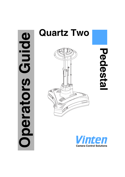# Guide **Operators Guide** perators



**Pedestal**Pedesta

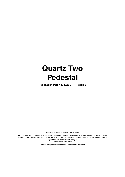# **Quartz Two Pedestal**

**Publication Part No. 3826-8 Issue 6**

Copyright © Vinten Broadcast Limited 2005

All rights reserved throughout the world. No part of this document may be stored in a retrieval system, transmitted, copied or reproduced in any way including, but not limited to, photocopy, photograph, magnetic or other record without the prior agreement and permission in writing of Vinten Broadcast Limited.

Vinten is a registered trademark of Vinten Broadcast Limited.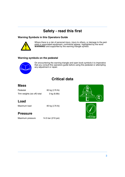# **Safety - read this first**

### <span id="page-2-1"></span>**Warning Symbols in this Operators Guide**



Where there is a risk of personal injury, injury to others, or damage to the pedestal or associated equipment, comments appear, highlighted by the word **WARNING!** and supported by the warning triangle symbol.

### **Warning symbols on the pedestal**



On encountering the warning triangle and open book symbols it is imperative that you consult this operators guide before using this pedestal or attempting any adjustment or repair.

# **Critical data**

## <span id="page-2-0"></span>**Mass**

| Pedestal                     | 80 kg (176 lb) |
|------------------------------|----------------|
| Trim weights (six off) total | 3 kg (6.6lb)   |

# **Load**

Maximum load 80 kg (176 lb)

# **Pressure**

Maximum pressure 14.5 bar (210 psi) <sup>≤</sup>**14.5 bar**



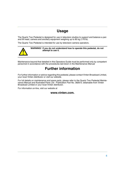# **Usage**

<span id="page-3-1"></span>The Quartz Two Pedestal is designed for use in television studios to support and balance a pan and tilt head, camera and ancillary equipment weighing up to 80 kg (176 lb).

The Quartz Two Pedestal is intended for use by television camera operators.



**WARNING! If you do not understand how to operate this pedestal, do not attempt to use it.**

<span id="page-3-0"></span>Maintenance beyond that detailed in this Operators Guide must be performed only by competent personnel in accordance with the procedures laid down in the Maintenance Manual

# **Further information**

For further information or advice regarding this pedestal, please contact Vinten Broadcast Limited, your local Vinten distributor or visit our website.

For full details on maintenance and spare parts, please refer to the Quartz Two Pedestal Maintenance Manual and Illustrated Parts List - Publication Part No. 3826-9, obtainable from Vinten Broadcast Limited or your local Vinten distributor.

For information on-line, visit our website at

### **www.vinten.com.**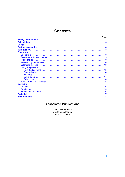# **Contents**

|                    | Page |
|--------------------|------|
|                    |      |
|                    |      |
|                    |      |
|                    |      |
|                    |      |
|                    |      |
| <b>Operation</b>   |      |
|                    |      |
|                    |      |
|                    |      |
|                    |      |
|                    |      |
|                    |      |
| Using the pedestal |      |
|                    |      |
|                    |      |
|                    |      |
|                    |      |
|                    |      |
|                    |      |
|                    |      |
| <b>Servicing</b>   |      |
|                    |      |
|                    |      |
|                    |      |
|                    |      |
|                    |      |
|                    |      |

# **Associated Publications**

Quartz Two Pedestal Maintenance Manual Part No. 3826-9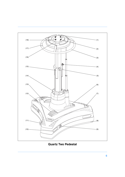<span id="page-5-16"></span><span id="page-5-15"></span><span id="page-5-14"></span><span id="page-5-13"></span><span id="page-5-12"></span><span id="page-5-11"></span><span id="page-5-7"></span><span id="page-5-4"></span><span id="page-5-2"></span><span id="page-5-0"></span>

<span id="page-5-17"></span><span id="page-5-10"></span><span id="page-5-9"></span><span id="page-5-8"></span><span id="page-5-6"></span><span id="page-5-5"></span><span id="page-5-3"></span><span id="page-5-1"></span>**Quartz Two Pedestal**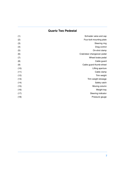# **Quartz Two Pedestal**

| (1)  | Schrader valve and cap      |
|------|-----------------------------|
| (2)  | Four-bolt mounting plate    |
| (3)  | Steering ring               |
| (4)  | Drag control                |
| (5)  | On-shot clamp               |
| (6)  | Crab/steer changeover pedal |
| (7)  | Wheel brake pedal           |
| (8)  | Cable guard                 |
| (9)  | Cable guard thumb-wheel     |
| (10) | Lifting aperture            |
| (11) | Cable clamp                 |
| (12) | Trim weight                 |
| (13) | Trim weight stowage         |
| (14) | Safety catch                |
| (15) | Moving column               |
| (16) | Weight tray                 |
| (17) | Steering indicator          |
| (18) | Pressure gauge              |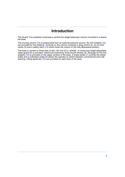# **Introduction**

<span id="page-7-0"></span>The Quartz Two pedestal comprises a central two-stage telescopic column mounted in a steerable base.

The moving column [\(15\)](#page-5-0) is pressurized from an external pressure source. Six trim weights [\(12\)](#page-5-1) are provided for fine balance. Controls on the column comprise a drag control [\(4\)](#page-5-2), an on-shot clamp [\(5\)](#page-5-3) and a safety catch [\(14\)](#page-5-4) which locks the column in the fully-depressed position.

The base is carried on three sets of twin 125 mm (5 in.) wheels. A continuous height-adjustable cable guard  $(8)$  is provided, raised and lowered by three thumb-wheels  $(9)$ . Stowage for the trim weights  $(13)$  is provided on the upper surface of the base. A brake pedal  $(7)$  controls the wheel brake and a crab/steer pedal [\(6\)](#page-5-9) allows the operator to switch between conventional and crab steering. Lifting apertures  $(10)$  are provided on each face of the base.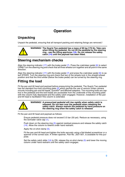# **Operation**

# <span id="page-8-1"></span><span id="page-8-0"></span>**Unpacking**

Unpack the pedestal, ensuring that all transport packing and retaining fixings are removed.!

**WARNING! The Quartz Two pedestal has a mass of 80 kg (176 lb). Take care when lifting the pedestal. Do not lift the pedestal by the steering ring - use the lifting apertures [\(10\)](#page-5-10). Do not release the safety catch [\(14\)](#page-5-4) until the payload has been fitted.**

# <span id="page-8-2"></span>**Steering mechanism checks**

Align the steering indicator  $(17)$  with the brake pedal  $(7)$ . Press the crab/steer pedal  $(6)$  to select CRAB Turn the steering ring and check that all three wheels turn together and all point in the same direction.

Align the steering indicator [\(17\)](#page-5-11) with the brake pedal [\(7\)](#page-5-8) and press the crab/steer pedal [\(6\)](#page-5-9) to select STEER. Turn the steering ring and check that two of the wheels lock in the straight-ahead position and that the third wheel (below the brake pedal) can be turned by the steering ring.

# <span id="page-8-3"></span>**Fitting the load**

Fit the pan and tilt head and payload before pressurizing the pedestal. The Quartz Two pedestal has the standard four-bolt mounting plate  $(2)$  which permits the use of various Vinten camera mounts including pan and tilt heads, Quick $\overline{\mathfrak{h}}$  and Mitchell adapters. The mounting bolts are captive in the pedestal and the bolt heads are accessible from the underside of the mounting plate with the column fully depressed and the safety catch engaged. However, installation of the pan and tilt head is facilitated if the column is extended.



**WARNING! A pressurized pedestal will rise rapidly when safety catch is released. Do not lean over the pedestal when releasing the safety catch. Always restrain the pedestal by hand pressure on the steering ring when the safety catch is released**

Fit the pan and tilt head and payload as follows:

Ensure pedestal pressure does not exceed 3.5 bar (50 psi). Reduce as necessary, using the Schrader valve cap [\(1\)](#page-5-13),

Push down on the steering ring [\(3\)](#page-5-14) against residual pressure and release the safety catch [\(14\)](#page-5-4). Allow the column to extend under hand restraint.

Apply the on-shot clamp [\(5\)](#page-5-3).

Fit the pan and tilt head and tighten the bolts securely using a flat-bladed screwdriver or a spanner of the correct size. A Vinten spanner, Part No. J551-001, is available for this purpose.

Set the safety catch slide [\(14\)](#page-5-4) to ON, release the on-shot clamp [\(5\)](#page-5-3) and lower the moving column under hand restraint until the safety catch engages.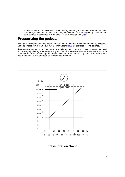Fit the camera and accessories to the mounting, ensuring that all items such as pan bars, prompters, lenses etc, are fitted. Attaching these items at a later stage may upset the ped-estal balance. Install three trim weights [\(12\)](#page-5-1) on the weight tray [\(16\)](#page-5-15).

### <span id="page-9-0"></span>**Pressurizing the pedestal**

The Quartz Two pedestal may be pressurized from an external pressure source or by using the Vinten portable pump (Part No. 3357-3). Trim weights [\(12\)](#page-5-1) are provided for fine balance.

Ascertain the payload to be fitted to the pedestal (payload = pan and tilt head, camera, lens and all ancillary equipment). Referring to the graph, mark the payload on the horizontal axis then strike a vertical line from the load figure to the balance line. At the intersecting point strike a horizontal line to the vertical axis and read off the required pressure.



**Pressurization Graph**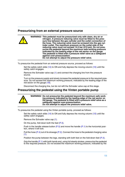### **Pressurizing from an external pressure source**

|  | WARNING! This pedestal must be pressurized only with clean, dry air or<br>nitrogen. A pressure reducing valve must be fitted to the pres-<br>sure line between the gas cylinder and the outlet connection of<br>the hose. The reducing valve must be screwed into the gas cyl-<br>inder outlet. The maximum pressure on the outlet side of the<br>reducing valve must not exceed 14.5 bar (210 psi). Do not pres-<br>surize the pedestal beyond the maximum safe working pressure<br>indicated by the leading edge of the red sector on the gauge.<br>The pedestal is fitted with a pressure relief valve as a safeguard |
|--|--------------------------------------------------------------------------------------------------------------------------------------------------------------------------------------------------------------------------------------------------------------------------------------------------------------------------------------------------------------------------------------------------------------------------------------------------------------------------------------------------------------------------------------------------------------------------------------------------------------------------|
|  | against over-pressurization.<br>Do not attempt to adjust the pressure relief valve.                                                                                                                                                                                                                                                                                                                                                                                                                                                                                                                                      |

To pressurize the pedestal from an external pressure source, proceed as follows:

Set the safety catch slide [\(14\)](#page-5-4) to ON and fully depress the moving column [\(15\)](#page-5-0) until the safety catch engages.

Remove the Schrader valve cap [\(1\)](#page-5-13) and connect the charging line from the pressure source.

Turn on the pressure supply and slowly increase the pedestal pressure to the required pressure. Do not exceed the maximum working pressure, indicated by the leading edge of the red sector on the gauge [\(18\)](#page-5-16).

Disconnect the charging line, but do not refit the Schrader valve cap at this stage.

### **Pressurizing the pedestal using the Vinten portable pump**



**WARNING! Do not pressurize the pedestal beyond the maximum safe working pressure indicated by the leading edge of the red sector on the gauge. The pedestal is fitted with a pressure relief valve as a safeguard against over-pressurization. Do not attempt to adjust the pressure relief valve.**

To pressurize the pedestal using the Vinten portable pump, proceed as follows:

Set the safety catch slide [\(14\)](#page-5-4) to ON and fully depress the moving column [\(15\)](#page-5-0) until the safety catch engages.

Remove the Schrader valve cap [\(1\)](#page-5-13).

On the pump, fold down both the feet [\(P.3\)](#page-11-0).

Push in the handle release button  $(P.5)$  and move the handle  $(P.1)$  to the horizontal position, where it will lock.

Pull the hose [\(P.4\)](#page-11-3) out of its stowage [\(P.2\).](#page-11-4) Connect the hose to the pedestal charging valve  $(1)$ .

Position the pump between the legs, standing with both feet on the fold-down feet  $(P.3)$ .

Grip the handle [\(P.1\)](#page-11-2) with both hands and, using full steady strokes, pressurize the pedestal to the required pressure. Do not exceed the maximum working pressure, indicated by the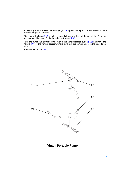leading edge of the red sector on the gauge [\(18\)](#page-5-16) Approximately 300 strokes will be required to fully charge the pedestal.

Disconnect the hose [\(P.4\)](#page-11-3) from the pedestal charging valve, but do not refit the Schrader valve cap at this stage. Fit the hose in its stowage [\(P.2\).](#page-11-4)

Push the pump plunger fully down, push in the handle release button [\(P.5\)](#page-11-1) and move the handle [\(P.1\)](#page-11-2) to the vertical position, where it will lock the pump plunger in the closed position.

Fold up both the feet [\(P.3\)](#page-11-0).

<span id="page-11-1"></span>

### <span id="page-11-4"></span><span id="page-11-3"></span><span id="page-11-2"></span><span id="page-11-0"></span>**Vinten Portable Pump**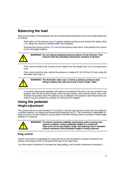# <span id="page-12-1"></span>**Balancing the load**

After pressurization of the pedestal, the pan and tilt head and payload can be accurately balanced, as follows:

Push down on the steering ring  $(3)$  against residual pressure and release the safety catch [\(14\)](#page-5-4). Allow the column to extend under hand restraint.

Exercise the moving column [\(15\)](#page-5-0) over its full travel at least twice, then position the column in the mid-height position.



**WARNING! Do not reduce pedestal pressure below 3.5 bar (50 psi). This ensures that the elevating mechanism remains in tension.**

If the column tends to fall, remove a trim weight from the weight tray  $(16)$  or increase pressure.

If the column tends to rise, reduce the pressure in steps of 0.15-0.20 bar (2-3 psi) using the Schrader valve cap [\(1\).](#page-5-13)



**WARNING! The Schrader valve cap [\(1\)](#page-5-13) forms a primary pressure seal. Always replace the cap and screw it down finger- tight.**

A correctly pressurized pedestal will balance its payload such that it can be moved to any position over the full on-shot stroke of the moving column, with minimum effort, and it will maintain its position when the steering ring is released. Fine balance and temperature correction may be achieved by adding or removing trim weights.

# <span id="page-12-2"></span><span id="page-12-0"></span>**Using the pedestal Height adjustment**

The column has an on-shot stroke of 77 cm (30 in.) and the load can be moved over this distance, in perfect balance, by raising and lowering the steering ring [\(3\)](#page-5-14). The movement is adjustable for drag [\(4\)](#page-5-2) and an on-shot clamp [\(5\)](#page-5-3) can be used to hold the moving column in position if fixed height operation is required.



**WARNING! To ensure maximum stability, particularly when moving over uneven surfaces, reduce pedestal height to a minimum. Take care not to trap fingers under the steering hub or between column elements while pedestal height is being reduced.**

### **Drag control**

Column movement is adjustable for drag and this is set according to operator preference by means of the drag control  $(4)$  located at the top of the outer tube.

Turn the control clockwise to increase the drag setting, and counter-clockwise to decease it.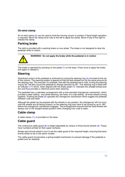### **On-shot clamp**

An on-shot clamp [\(5\)](#page-5-3) can be used to hold the moving column in position if fixed height operation is required. Move the clamp lever fully to the left to apply the clamp. Move it fully to the right to release the clamp.

### <span id="page-13-0"></span>**Parking brake**

The skid is provided with a parking brake on one wheel. The brake is not designed to slow the pedestal while in motion.



**WARNING! Do not apply the brake while the pedestal is in motion**

The brake is operated by pressing on the pedal [\(7\)](#page-5-8) on the base. Press once to apply the brake and again to release it.

### <span id="page-13-1"></span>**Steering**

Directional control of the pedestal is achieved by turning the steering ring [\(3\)](#page-5-14) mounted at the top of the column. The steering system is geared so that the skid wheels turn by the same amount as the steering ring. This ensures, for example, that with the pedestal set to crab, turning the steering ring by 90° will also cause the pedestal to change direction by 90°. The steering ring is fitted with an indicator [\(17\)](#page-5-11) which, when aligned with the brake pedal  $(7)$ , indicates the straight-ahead position and thus provides a reference point when steering.

The pedestal has a crab/steer arrangement with a foot-operated changeover mechanism, which provides a steer setting - one wheel steering, two fixed; or a crab setting - all three wheels turning together. Pushing the pedal [\(6\)](#page-5-9) operates the changeover mechanism which toggles the pedestal between crab and steer.

Although the pedal can be pressed with the wheels in any position, the changeover will not occur until the wheels are all facing forward, so the steering ring may have to be turned by up to 180° before the changeover mechanism engages. This arrangement ensures that the fixed wheels will always lock in the straight-ahead position when changing from crab to steer.

### <span id="page-13-2"></span>**Cable clamp**

A cable clamp [\(11\)](#page-5-17) is provided on the base.

### <span id="page-13-3"></span>**Cable guard**

The continuous cable guard  $(8)$  is height-adjustable by means of three thumb-wheels  $(9)$ . These have numbers printed on their upper surfaces.

Rotate each thumb-wheel in turn to set the cable guard to the required height, ensuring that each thumb-wheel is set to the same number.

The cable guard incorporates a spring-loaded mechanism to prevent damage if the pedestal is pulled over an obstacle.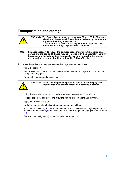# <span id="page-14-0"></span>**Transportation and storage**



**NOTE: It is not necessary to reduce the pedestal pressure prior to transportation or storage and the pan and tilt head may be removed with the pedestal in the fully depressed and locked position. However, to facilitate removal of the camera and mounting, pressure should be reduced to 3.5 bar (50 psi).**

To prepare the pedestal for transportation and storage, proceed as follows:

Apply the brake [\(7\).](#page-5-8)

Set the safety catch slide [\(14\)](#page-5-4) to ON and fully depress the moving column [\(15\)](#page-5-0) until the safety catch engages.

Remove the camera and accessories.



**WARNING! Do not reduce pedestal pressure below 3.5 bar (50 psi). This ensures that the elevating mechanism remains in tension.**

Using the Schrader valve cap [\(1\),](#page-5-13) reduce pedestal pressure to 3.5 bar (50 psi).

Release the safety catch [\(14\)](#page-5-4) and allow the column to rise under hand restraint.

Apply the on-shot clamp [\(5\)](#page-5-3).

Undo the four mounting bolts and remove the pan and tilt head.

To avoid the possibility of dust or abrasive particles collecting on moving components, release the on-shot clamp [\(5\),](#page-5-3) set the column to minimum height and engage the safety catch  $(14)$ .

Place any trim weights [\(12\)](#page-5-1) in the trim weight stowage [\(13\).](#page-5-7)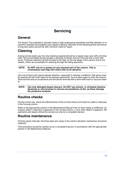# **Servicing**

# <span id="page-15-0"></span>**General**

The Quartz Two pedestal is robustly made to high engineering standards and little attention is required to maintain serviceability save regular cleaning. Attention to the following points will ensure a long and useful service life with minimum need for repair.

# <span id="page-15-1"></span>**Cleaning**

During normal studio use, the only cleaning required should be a regular wipe over with a lint-free cloth. Dirt accumulated during storage or periods of disuse may be removed with a semi-stiff brush. Particular attention should be paid to the flats on the top stage of the column and to the wheels, which are accessible for cleaning through the lifting apertures.

### **NOTE: Do NOT use oil or grease on any exposed part of the column. This is unnecessary and traps dirt which acts as an abrasive.**

Use out-of-doors will require special attention, especially in adverse conditions. Salt spray must be washed off with fresh water at the earliest opportunity. Do not allow water to enter the column. Sand and dirt acts as an abrasive and should be removed with a semi-stiff brush or vacuum cleaner.

### **NOTE: Use only detergent-based cleaners. Do NOT use solvent- or oil-based cleaners, abrasives or wire brushes to remove accumulations of dirt, as these damage the protective surfaces.**

# <span id="page-15-2"></span>**Routine checks**

During normal use, check the effectiveness of the on-shot clamp and check for radial or side play in the moving column.

Refer to the appropriate section in the Maintenance Manual if the on-shot clamp is ineffective, excessive radial or side play is apparent in the moving column, or any other defect is apparent. Adjustments and repairs should be carried out only by a competent person.

# <span id="page-15-3"></span>**Routine maintenance**

At three-yearly intervals, the three steel wire ropes in the column elevation mechanism should be replaced.

This procedure should be carried out by a competent person in accordance with the appropriate section in the Maintenance Manual.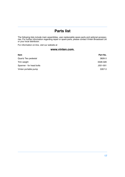# **Parts list**

<span id="page-16-0"></span>The following lists include main assemblies, user-replaceable spare parts and optional accessories. For further information regarding repair or spare parts, please contact Vinten Broadcast Ltd or your local distributor.

For information on-line, visit our website at

### **www.vinten.com.**

| Item                     | Part No. |
|--------------------------|----------|
| Quartz Two pedestal      | 3826-3   |
| Trim weight              | 3328-328 |
| Spanner - for head bolts | J551-001 |
| Vinten portable pump     | 3357-3   |